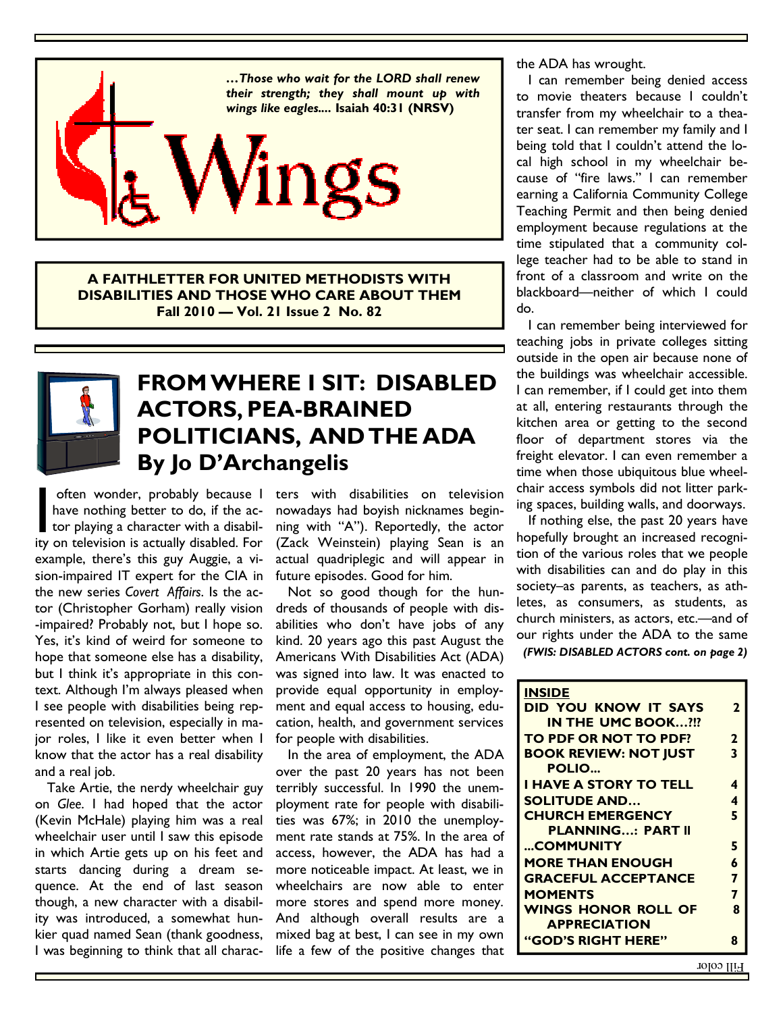

**A FAITHLETTER FOR UNITED METHODISTS WITH DISABILITIES AND THOSE WHO CARE ABOUT THEM Fall 2010 — Vol. 21 Issue 2 No. 82** 



# **FROM WHERE I SIT: DISABLED ACTORS, PEA-BRAINED POLITICIANS, AND THE ADA By Jo D'Archangelis**

often wonder, probably because I<br>have nothing better to do, if the ac-<br>tor playing a character with a disabil-<br>ity on television is actually disabled. For have nothing better to do, if the actor playing a character with a disability on television is actually disabled. For example, there's this guy Auggie, a vision-impaired IT expert for the CIA in the new series *Covert Affairs*. Is the actor (Christopher Gorham) really vision -impaired? Probably not, but I hope so. Yes, it's kind of weird for someone to hope that someone else has a disability, but I think it's appropriate in this context. Although I'm always pleased when I see people with disabilities being represented on television, especially in major roles, I like it even better when I know that the actor has a real disability and a real job.

 Take Artie, the nerdy wheelchair guy on *Glee*. I had hoped that the actor (Kevin McHale) playing him was a real wheelchair user until I saw this episode in which Artie gets up on his feet and starts dancing during a dream sequence. At the end of last season though, a new character with a disability was introduced, a somewhat hunkier quad named Sean (thank goodness, I was beginning to think that all characters with disabilities on television nowadays had boyish nicknames beginning with "A"). Reportedly, the actor (Zack Weinstein) playing Sean is an actual quadriplegic and will appear in future episodes. Good for him.

 Not so good though for the hundreds of thousands of people with disabilities who don't have jobs of any kind. 20 years ago this past August the Americans With Disabilities Act (ADA) was signed into law. It was enacted to provide equal opportunity in employment and equal access to housing, education, health, and government services for people with disabilities.

 In the area of employment, the ADA over the past 20 years has not been terribly successful. In 1990 the unemployment rate for people with disabilities was 67%; in 2010 the unemployment rate stands at 75%. In the area of access, however, the ADA has had a more noticeable impact. At least, we in wheelchairs are now able to enter more stores and spend more money. And although overall results are a mixed bag at best, I can see in my own life a few of the positive changes that the ADA has wrought.

 I can remember being denied access to movie theaters because I couldn't transfer from my wheelchair to a theater seat. I can remember my family and I being told that I couldn't attend the local high school in my wheelchair because of "fire laws." I can remember earning a California Community College Teaching Permit and then being denied employment because regulations at the time stipulated that a community college teacher had to be able to stand in front of a classroom and write on the blackboard—neither of which I could do.

 I can remember being interviewed for teaching jobs in private colleges sitting outside in the open air because none of the buildings was wheelchair accessible. I can remember, if I could get into them at all, entering restaurants through the kitchen area or getting to the second floor of department stores via the freight elevator. I can even remember a time when those ubiquitous blue wheelchair access symbols did not litter parking spaces, building walls, and doorways.

 If nothing else, the past 20 years have hopefully brought an increased recognition of the various roles that we people with disabilities can and do play in this society–as parents, as teachers, as athletes, as consumers, as students, as church ministers, as actors, etc.—and of our rights under the ADA to the same *(FWIS: DISABLED ACTORS cont. on page 2)* 

| <b>INSIDE</b>                |   |
|------------------------------|---|
| DID YOU KNOW IT SAYS         | 2 |
| <b>IN THE UMC BOOK?!?</b>    |   |
| <b>TO PDF OR NOT TO PDF?</b> | 2 |
| <b>BOOK REVIEW: NOT JUST</b> | 3 |
| <b>POLIO</b>                 |   |
| I HAVE A STORY TO TELL       | 4 |
| <b>SOLITUDE AND</b>          | 4 |
| <b>CHURCH EMERGENCY</b>      | 5 |
| <b>PLANNING: PART II</b>     |   |
| <b><i></i>.COMMUNITY</b>     | 5 |
| <b>MORE THAN ENOUGH</b>      | 6 |
| <b>GRACEFUL ACCEPTANCE</b>   | 7 |
| <b>MOMENTS</b>               | 7 |
| WINGS HONOR ROLL OF          | 8 |
| <b>APPRECIATION</b>          |   |
| "GOD'S RIGHT HERE"           | 8 |
|                              |   |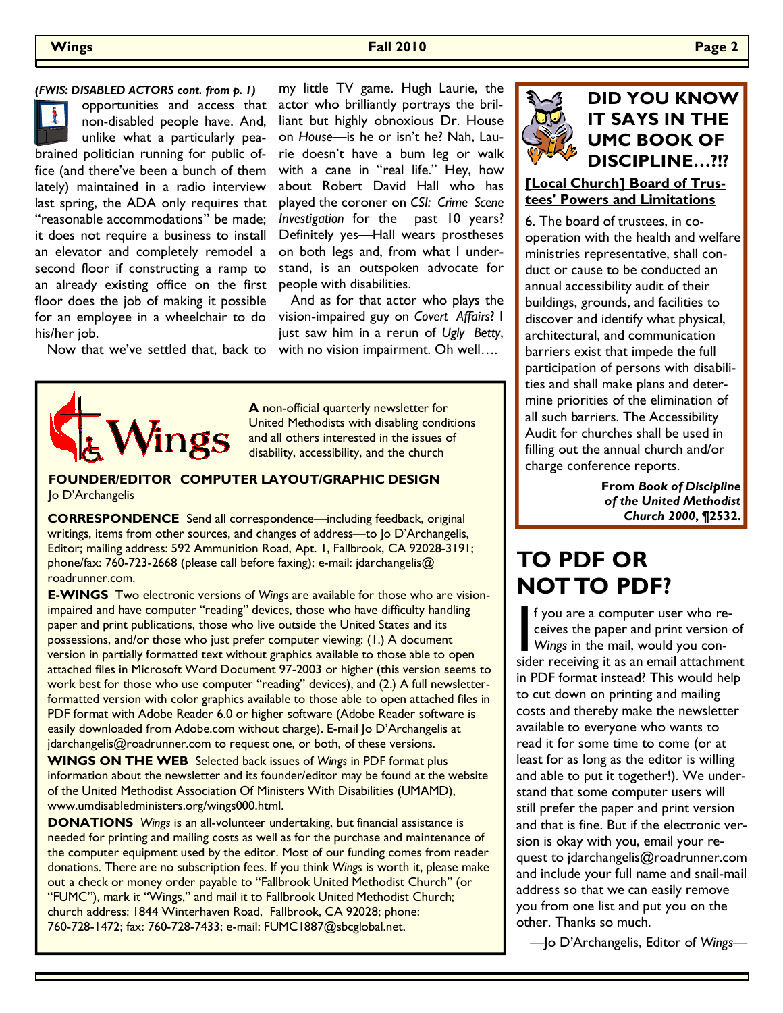### **Wings Fall 2010 Page 2**

opportunities and access that non-disabled people have. And, unlike what a particularly peabrained politician running for public office (and there've been a bunch of them lately) maintained in a radio interview last spring, the ADA only requires that "reasonable accommodations" be made; it does not require a business to install an elevator and completely remodel a second floor if constructing a ramp to an already existing office on the first floor does the job of making it possible for an employee in a wheelchair to do his/her job.

Now that we've settled that, back to

*(FWIS: DISABLED ACTORS cont. from p. 1)* my little TV game. Hugh Laurie, the actor who brilliantly portrays the brilliant but highly obnoxious Dr. House on *House*—is he or isn't he? Nah, Laurie doesn't have a bum leg or walk with a cane in "real life." Hey, how about Robert David Hall who has played the coroner on *CSI: Crime Scene Investigation* for the past 10 years? Definitely yes—Hall wears prostheses on both legs and, from what I understand, is an outspoken advocate for people with disabilities.

> And as for that actor who plays the vision-impaired guy on *Covert Affairs*? I just saw him in a rerun of *Ugly Betty*, with no vision impairment. Oh well….



**A** non-official quarterly newsletter for United Methodists with disabling conditions and all others interested in the issues of disability, accessibility, and the church

#### **FOUNDER/EDITOR COMPUTER LAYOUT/GRAPHIC DESIGN**  Jo D'Archangelis

**CORRESPONDENCE** Send all correspondence—including feedback, original writings, items from other sources, and changes of address—to Jo D'Archangelis, Editor; mailing address: 592 Ammunition Road, Apt. 1, Fallbrook, CA 92028-3191; phone/fax: 760-723-2668 (please call before faxing); e-mail: jdarchangelis@ roadrunner.com.

**E-WINGS** Two electronic versions of *Wings* are available for those who are visionimpaired and have computer "reading" devices, those who have difficulty handling paper and print publications, those who live outside the United States and its possessions, and/or those who just prefer computer viewing: (1.) A document version in partially formatted text without graphics available to those able to open attached files in Microsoft Word Document 97-2003 or higher (this version seems to work best for those who use computer "reading" devices), and (2.) A full newsletterformatted version with color graphics available to those able to open attached files in PDF format with Adobe Reader 6.0 or higher software (Adobe Reader software is easily downloaded from Adobe.com without charge). E-mail Jo D'Archangelis at jdarchangelis@roadrunner.com to request one, or both, of these versions.

**WINGS ON THE WEB** Selected back issues of *Wings* in PDF format plus information about the newsletter and its founder/editor may be found at the website of the United Methodist Association Of Ministers With Disabilities (UMAMD), www.umdisabledministers.org/wings000.html.

**DONATIONS** *Wings* is an all-volunteer undertaking, but financial assistance is needed for printing and mailing costs as well as for the purchase and maintenance of the computer equipment used by the editor. Most of our funding comes from reader donations. There are no subscription fees. If you think *Wings* is worth it, please make out a check or money order payable to "Fallbrook United Methodist Church" (or "FUMC"), mark it "Wings," and mail it to Fallbrook United Methodist Church; church address: 1844 Winterhaven Road, Fallbrook, CA 92028; phone: 760-728-1472; fax: 760-728-7433; e-mail: FUMC1887@sbcglobal.net.



## **DID YOU KNOW IT SAYS IN THE UMC BOOK OF DISCIPLINE…?!?**

#### **[Local Church] Board of Trustees' Powers and Limitations**

6. The board of trustees, in cooperation with the health and welfare ministries representative, shall conduct or cause to be conducted an annual accessibility audit of their buildings, grounds, and facilities to discover and identify what physical, architectural, and communication barriers exist that impede the full participation of persons with disabilities and shall make plans and determine priorities of the elimination of all such barriers. The Accessibility Audit for churches shall be used in filling out the annual church and/or charge conference reports.

> **From** *Book of Discipline of the United Methodist Church 2000***, ¶2532.**

# **TO PDF OR NOT TO PDF?**

I f you are a computer user who receives the paper and print version of Wings in the mail, would you consider receiving it as an email attachment ceives the paper and print version of *Wings* in the mail, would you conin PDF format instead? This would help to cut down on printing and mailing costs and thereby make the newsletter available to everyone who wants to read it for some time to come (or at least for as long as the editor is willing and able to put it together!). We understand that some computer users will still prefer the paper and print version and that is fine. But if the electronic version is okay with you, email your request to jdarchangelis@roadrunner.com and include your full name and snail-mail address so that we can easily remove you from one list and put you on the other. Thanks so much.

—Jo D'Archangelis, Editor of *Wings*—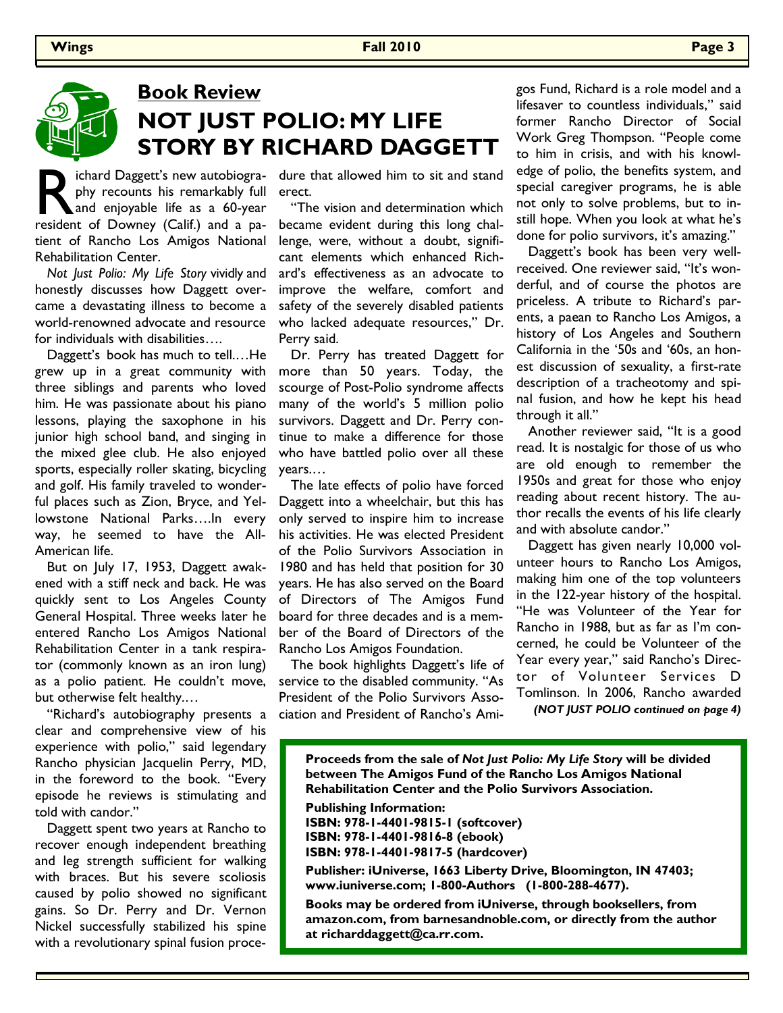

# **Book Review NOT JUST POLIO: MY LIFE STORY BY RICHARD DAGGETT**

Fichard Daggett's new autobiography recounts his remarkably full and enjoyable life as a 60-year resident of Downey (Calif.) and a paphy recounts his remarkably full and enjoyable life as a 60-year tient of Rancho Los Amigos National Rehabilitation Center.

*Not Just Polio: My Life Story* vividly and honestly discusses how Daggett overcame a devastating illness to become a world-renowned advocate and resource for individuals with disabilities….

 Daggett's book has much to tell.…He grew up in a great community with three siblings and parents who loved him. He was passionate about his piano lessons, playing the saxophone in his junior high school band, and singing in the mixed glee club. He also enjoyed sports, especially roller skating, bicycling and golf. His family traveled to wonderful places such as Zion, Bryce, and Yellowstone National Parks….In every way, he seemed to have the All-American life.

 But on July 17, 1953, Daggett awakened with a stiff neck and back. He was quickly sent to Los Angeles County General Hospital. Three weeks later he entered Rancho Los Amigos National Rehabilitation Center in a tank respirator (commonly known as an iron lung) as a polio patient. He couldn't move, but otherwise felt healthy.…

 "Richard's autobiography presents a clear and comprehensive view of his experience with polio," said legendary Rancho physician Jacquelin Perry, MD, in the foreword to the book. "Every episode he reviews is stimulating and told with candor."

 Daggett spent two years at Rancho to recover enough independent breathing and leg strength sufficient for walking with braces. But his severe scoliosis caused by polio showed no significant gains. So Dr. Perry and Dr. Vernon Nickel successfully stabilized his spine with a revolutionary spinal fusion procedure that allowed him to sit and stand erect.

 "The vision and determination which became evident during this long challenge, were, without a doubt, significant elements which enhanced Richard's effectiveness as an advocate to improve the welfare, comfort and safety of the severely disabled patients who lacked adequate resources," Dr. Perry said.

 Dr. Perry has treated Daggett for more than 50 years. Today, the scourge of Post-Polio syndrome affects many of the world's 5 million polio survivors. Daggett and Dr. Perry continue to make a difference for those who have battled polio over all these years.…

 The late effects of polio have forced Daggett into a wheelchair, but this has only served to inspire him to increase his activities. He was elected President of the Polio Survivors Association in 1980 and has held that position for 30 years. He has also served on the Board of Directors of The Amigos Fund board for three decades and is a member of the Board of Directors of the Rancho Los Amigos Foundation.

 The book highlights Daggett's life of service to the disabled community. "As President of the Polio Survivors Association and President of Rancho's Amigos Fund, Richard is a role model and a lifesaver to countless individuals," said former Rancho Director of Social Work Greg Thompson. "People come to him in crisis, and with his knowledge of polio, the benefits system, and special caregiver programs, he is able not only to solve problems, but to instill hope. When you look at what he's done for polio survivors, it's amazing."

 Daggett's book has been very wellreceived. One reviewer said, "It's wonderful, and of course the photos are priceless. A tribute to Richard's parents, a paean to Rancho Los Amigos, a history of Los Angeles and Southern California in the '50s and '60s, an honest discussion of sexuality, a first-rate description of a tracheotomy and spinal fusion, and how he kept his head through it all."

 Another reviewer said, "It is a good read. It is nostalgic for those of us who are old enough to remember the 1950s and great for those who enjoy reading about recent history. The author recalls the events of his life clearly and with absolute candor."

 Daggett has given nearly 10,000 volunteer hours to Rancho Los Amigos, making him one of the top volunteers in the 122-year history of the hospital. "He was Volunteer of the Year for Rancho in 1988, but as far as I'm concerned, he could be Volunteer of the Year every year," said Rancho's Director of Volunteer Services D Tomlinson. In 2006, Rancho awarded *(NOT JUST POLIO continued on page 4)* 

**Proceeds from the sale of** *Not Just Polio: My Life Story* **will be divided between The Amigos Fund of the Rancho Los Amigos National Rehabilitation Center and the Polio Survivors Association. Publishing Information: ISBN: 978-1-4401-9815-1 (softcover) ISBN: 978-1-4401-9816-8 (ebook) ISBN: 978-1-4401-9817-5 (hardcover) Publisher: iUniverse, 1663 Liberty Drive, Bloomington, IN 47403; www.iuniverse.com; 1-800-Authors (1-800-288-4677). Books may be ordered from iUniverse, through booksellers, from amazon.com, from barnesandnoble.com, or directly from the author at richarddaggett@ca.rr.com.**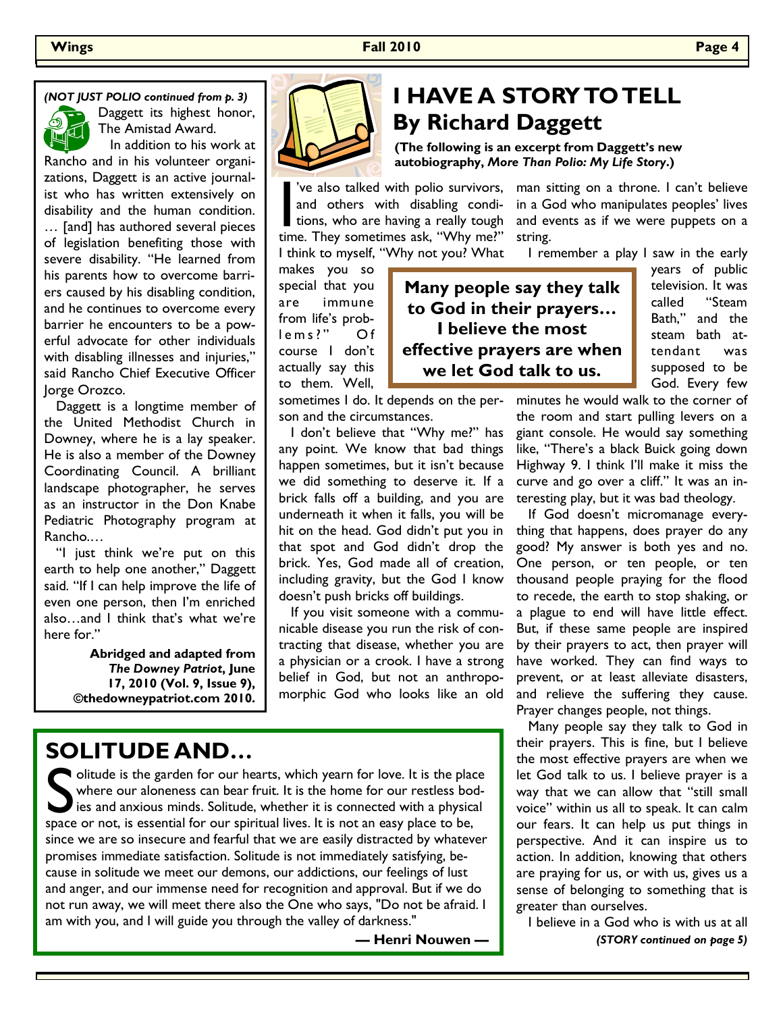### **Wings Fall 2010 Page 4**

*(NOT JUST POLIO continued from p. 3)* 



Daggett its highest honor, The Amistad Award. In addition to his work at

Rancho and in his volunteer organizations, Daggett is an active journalist who has written extensively on disability and the human condition. … [and] has authored several pieces of legislation benefiting those with severe disability. "He learned from his parents how to overcome barriers caused by his disabling condition, and he continues to overcome every barrier he encounters to be a powerful advocate for other individuals with disabling illnesses and injuries," said Rancho Chief Executive Officer Jorge Orozco.

 Daggett is a longtime member of the United Methodist Church in Downey, where he is a lay speaker. He is also a member of the Downey Coordinating Council. A brilliant landscape photographer, he serves as an instructor in the Don Knabe Pediatric Photography program at Rancho.…

 "I just think we're put on this earth to help one another," Daggett said. "If I can help improve the life of even one person, then I'm enriched also…and I think that's what we're here for."

> **Abridged and adapted from**  *The Downey Patriot***, June 17, 2010 (Vol. 9, Issue 9), ©thedowneypatriot.com 2010.**

**I HAVE A STORY TO TELL By Richard Daggett** 

**(The following is an excerpt from Daggett's new autobiography,** *More Than Polio: My Life Story***.)** 

string.

I 've also talked with polio survivors,<br>and others with disabling condi-<br>tions, who are having a really tough<br>time. They sometimes ask. "Why me?" and others with disabling conditions, who are having a really tough time. They sometimes ask, "Why me?"

I think to myself, "Why not you? What makes you so special that you are immune from life's problems?" Of course I don't actually say this to them. Well,

**Many people say they talk to God in their prayers… I believe the most effective prayers are when we let God talk to us.** 

 I remember a play I saw in the early years of public television. It was called "Steam

Bath," and the steam bath attendant was supposed to be God. Every few

sometimes I do. It depends on the per-minutes he would walk to the corner of son and the circumstances.

 I don't believe that "Why me?" has any point. We know that bad things happen sometimes, but it isn't because we did something to deserve it. If a brick falls off a building, and you are underneath it when it falls, you will be hit on the head. God didn't put you in that spot and God didn't drop the brick. Yes, God made all of creation, including gravity, but the God I know doesn't push bricks off buildings.

 If you visit someone with a communicable disease you run the risk of contracting that disease, whether you are a physician or a crook. I have a strong belief in God, but not an anthropomorphic God who looks like an old

## **SOLITUDE AND…**

I olitude is the garden for our hearts, which yearn for love. It is the place where our aloneness can bear fruit. It is the home for our restless bodies and anxious minds. Solitude, whether it is connected with a physical space or not, is essential for our spiritual lives. It is not an easy place to be, since we are so insecure and fearful that we are easily distracted by whatever promises immediate satisfaction. Solitude is not immediately satisfying, because in solitude we meet our demons, our addictions, our feelings of lust and anger, and our immense need for recognition and approval. But if we do not run away, we will meet there also the One who says, "Do not be afraid. I am with you, and I will guide you through the valley of darkness."

**— Henri Nouwen —** 

the room and start pulling levers on a giant console. He would say something like, "There's a black Buick going down Highway 9. I think I'll make it miss the curve and go over a cliff." It was an interesting play, but it was bad theology.

man sitting on a throne. I can't believe in a God who manipulates peoples' lives and events as if we were puppets on a

 If God doesn't micromanage everything that happens, does prayer do any good? My answer is both yes and no. One person, or ten people, or ten thousand people praying for the flood to recede, the earth to stop shaking, or a plague to end will have little effect. But, if these same people are inspired by their prayers to act, then prayer will have worked. They can find ways to prevent, or at least alleviate disasters, and relieve the suffering they cause. Prayer changes people, not things.

 Many people say they talk to God in their prayers. This is fine, but I believe the most effective prayers are when we let God talk to us. I believe prayer is a way that we can allow that "still small voice" within us all to speak. It can calm our fears. It can help us put things in perspective. And it can inspire us to action. In addition, knowing that others are praying for us, or with us, gives us a sense of belonging to something that is greater than ourselves.

 I believe in a God who is with us at all *(STORY continued on page 5)*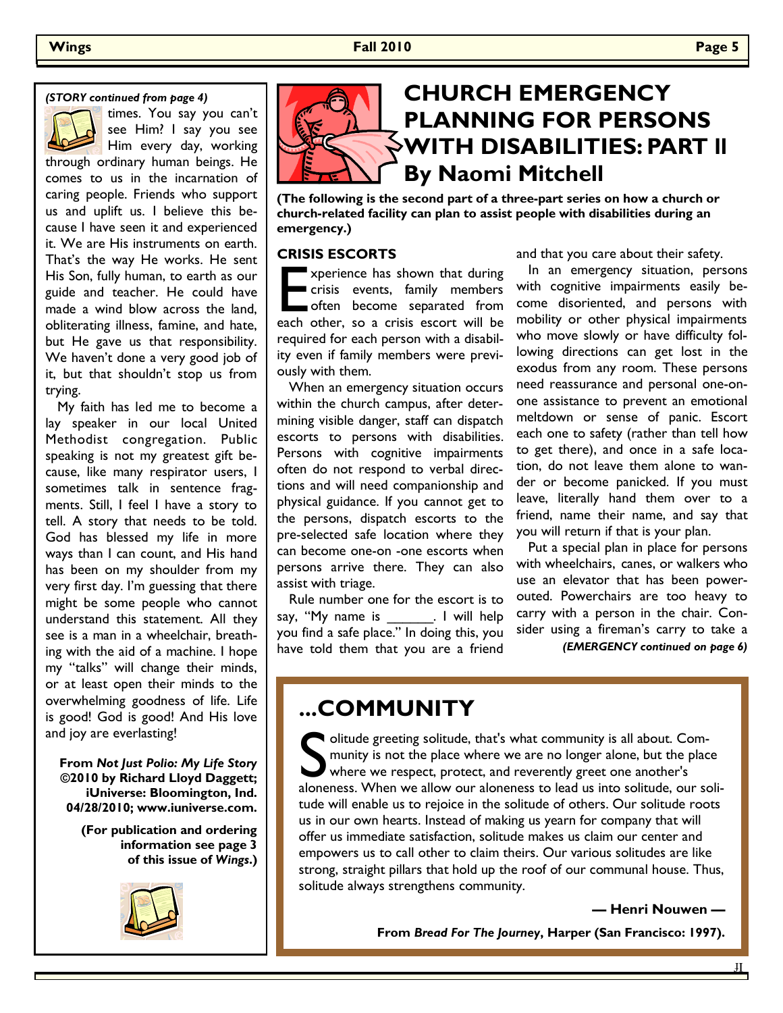*(STORY continued from page 4)* 



times. You say you can't see Him? I say you see Him every day, working

through ordinary human beings. He comes to us in the incarnation of caring people. Friends who support us and uplift us. I believe this because I have seen it and experienced it. We are His instruments on earth. That's the way He works. He sent His Son, fully human, to earth as our guide and teacher. He could have made a wind blow across the land, obliterating illness, famine, and hate, but He gave us that responsibility. We haven't done a very good job of it, but that shouldn't stop us from trying.

 My faith has led me to become a lay speaker in our local United Methodist congregation. Public speaking is not my greatest gift because, like many respirator users, I sometimes talk in sentence fragments. Still, I feel I have a story to tell. A story that needs to be told. God has blessed my life in more ways than I can count, and His hand has been on my shoulder from my very first day. I'm guessing that there might be some people who cannot understand this statement. All they see is a man in a wheelchair, breathing with the aid of a machine. I hope my "talks" will change their minds, or at least open their minds to the overwhelming goodness of life. Life is good! God is good! And His love and joy are everlasting!

**From** *Not Just Polio: My Life Story* **©2010 by Richard Lloyd Daggett; iUniverse: Bloomington, Ind. 04/28/2010; www.iuniverse.com.** 

> **(For publication and ordering information see page 3 of this issue of** *Wings***.)**





**(The following is the second part of a three-part series on how a church or church-related facility can plan to assist people with disabilities during an emergency.)** 

### **CRISIS ESCORTS**

 $\blacksquare$  xperience has shown that during crisis events, family members often become separated from each other, so a crisis escort will be required for each person with a disability even if family members were previously with them.

 When an emergency situation occurs within the church campus, after determining visible danger, staff can dispatch escorts to persons with disabilities. Persons with cognitive impairments often do not respond to verbal directions and will need companionship and physical guidance. If you cannot get to the persons, dispatch escorts to the pre-selected safe location where they can become one-on -one escorts when persons arrive there. They can also assist with triage.

 Rule number one for the escort is to say, "My name is Fig. 1 will help you find a safe place." In doing this, you have told them that you are a friend

and that you care about their safety.

 In an emergency situation, persons with cognitive impairments easily become disoriented, and persons with mobility or other physical impairments who move slowly or have difficulty following directions can get lost in the exodus from any room. These persons need reassurance and personal one-onone assistance to prevent an emotional meltdown or sense of panic. Escort each one to safety (rather than tell how to get there), and once in a safe location, do not leave them alone to wander or become panicked. If you must leave, literally hand them over to a friend, name their name, and say that you will return if that is your plan.

 Put a special plan in place for persons with wheelchairs, canes, or walkers who use an elevator that has been powerouted. Powerchairs are too heavy to carry with a person in the chair. Consider using a fireman's carry to take a

*(EMERGENCY continued on page 6)* 

## **...COMMUNITY**

Solitude greeting solitude, that's what community is all about. Com-<br>
munity is not the place where we are no longer alone, but the place<br>
where we respect, protect, and reverently greet one another's<br>
aloneness. When we a munity is not the place where we are no longer alone, but the place where we respect, protect, and reverently greet one another's tude will enable us to rejoice in the solitude of others. Our solitude roots us in our own hearts. Instead of making us yearn for company that will offer us immediate satisfaction, solitude makes us claim our center and empowers us to call other to claim theirs. Our various solitudes are like strong, straight pillars that hold up the roof of our communal house. Thus, solitude always strengthens community.

**— Henri Nouwen —** 

**From** *Bread For The Journey***, Harper (San Francisco: 1997).**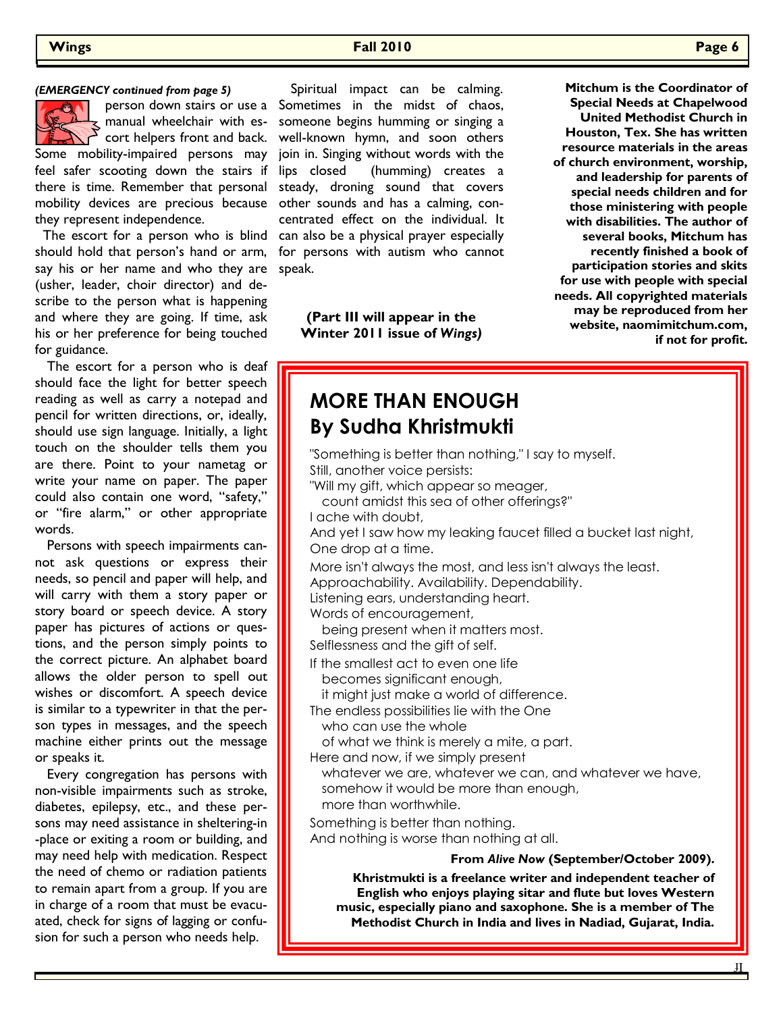

person down stairs or use a manual wheelchair with es-

 $\sum$  cort helpers front and back. Some mobility-impaired persons may feel safer scooting down the stairs if there is time. Remember that personal mobility devices are precious because they represent independence.

 The escort for a person who is blind should hold that person's hand or arm, say his or her name and who they are (usher, leader, choir director) and describe to the person what is happening and where they are going. If time, ask his or her preference for being touched for guidance.

 The escort for a person who is deaf should face the light for better speech reading as well as carry a notepad and pencil for written directions, or, ideally, should use sign language. Initially, a light touch on the shoulder tells them you are there. Point to your nametag or write your name on paper. The paper could also contain one word, "safety," or "fire alarm," or other appropriate words.

 Persons with speech impairments cannot ask questions or express their needs, so pencil and paper will help, and will carry with them a story paper or story board or speech device. A story paper has pictures of actions or questions, and the person simply points to the correct picture. An alphabet board allows the older person to spell out wishes or discomfort. A speech device is similar to a typewriter in that the person types in messages, and the speech machine either prints out the message or speaks it.

 Every congregation has persons with non-visible impairments such as stroke, diabetes, epilepsy, etc., and these persons may need assistance in sheltering-in -place or exiting a room or building, and may need help with medication. Respect the need of chemo or radiation patients to remain apart from a group. If you are in charge of a room that must be evacuated, check for signs of lagging or confusion for such a person who needs help.

*(EMERGENCY continued from page 5)* Spiritual impact can be calming. Sometimes in the midst of chaos, someone begins humming or singing a well-known hymn, and soon others join in. Singing without words with the lips closed (humming) creates a steady, droning sound that covers other sounds and has a calming, concentrated effect on the individual. It can also be a physical prayer especially for persons with autism who cannot speak.

> **(Part III will appear in the Winter 2011 issue of** *Wings)*

 **Mitchum is the Coordinator of Special Needs at Chapelwood United Methodist Church in Houston, Tex. She has written resource materials in the areas of church environment, worship, and leadership for parents of special needs children and for those ministering with people with disabilities. The author of several books, Mitchum has recently finished a book of participation stories and skits for use with people with special needs. All copyrighted materials may be reproduced from her website, naomimitchum.com, if not for profit.** 

## **MORE THAN ENOUGH By Sudha Khristmukti**

"Something is better than nothing," I say to myself. Still, another voice persists: "Will my gift, which appear so meager, count amidst this sea of other offerings?" I ache with doubt, And yet I saw how my leaking faucet filled a bucket last night, One drop at a time. More isn't always the most, and less isn't always the least. Approachability. Availability. Dependability. Listening ears, understanding heart. Words of encouragement, being present when it matters most. Selflessness and the gift of self. If the smallest act to even one life becomes significant enough, it might just make a world of difference. The endless possibilities lie with the One who can use the whole of what we think is merely a mite, a part. Here and now, if we simply present whatever we are, whatever we can, and whatever we have, somehow it would be more than enough, more than worthwhile. Something is better than nothing. And nothing is worse than nothing at all. **From** *Alive Now* **(September/October 2009). Khristmukti is a freelance writer and independent teacher of English who enjoys playing sitar and flute but loves Western music, especially piano and saxophone. She is a member of The** 

**Methodist Church in India and lives in Nadiad, Gujarat, India.**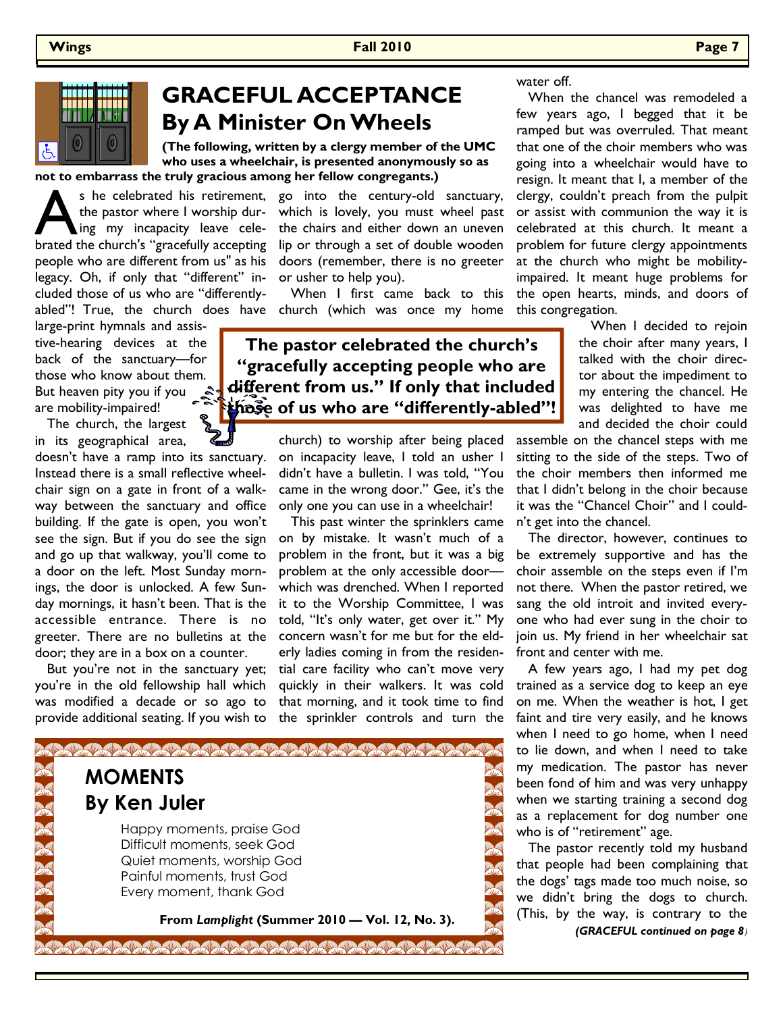

## **GRACEFUL ACCEPTANCE By A Minister On Wheels**

 **(The following, written by a clergy member of the UMC who uses a wheelchair, is presented anonymously so as not to embarrass the truly gracious among her fellow congregants.)** 

s he celebrated his retirement,<br>the pastor where I worship dur-<br>brated the church's "gracefully accepting the pastor where I worship during my incapacity leave celepeople who are different from us" as his legacy. Oh, if only that "different" included those of us who are "differentlyabled"! True, the church does have

large-print hymnals and assistive-hearing devices at the back of the sanctuary—for those who know about them. But heaven pity you if you are mobility-impaired!

 The church, the largest in its geographical area,

doesn't have a ramp into its sanctuary. Instead there is a small reflective wheelchair sign on a gate in front of a walkway between the sanctuary and office building. If the gate is open, you won't see the sign. But if you do see the sign and go up that walkway, you'll come to a door on the left. Most Sunday mornings, the door is unlocked. A few Sunday mornings, it hasn't been. That is the accessible entrance. There is no greeter. There are no bulletins at the door; they are in a box on a counter.

 But you're not in the sanctuary yet; you're in the old fellowship hall which was modified a decade or so ago to provide additional seating. If you wish to

go into the century-old sanctuary, which is lovely, you must wheel past the chairs and either down an uneven lip or through a set of double wooden doors (remember, there is no greeter or usher to help you).

 When I first came back to this church (which was once my home

**The pastor celebrated the church's "gracefully accepting people who are different from us." If only that included those of us who are "differently-abled"!** 

> church) to worship after being placed on incapacity leave, I told an usher I didn't have a bulletin. I was told, "You came in the wrong door." Gee, it's the only one you can use in a wheelchair!

> This past winter the sprinklers came on by mistake. It wasn't much of a problem in the front, but it was a big problem at the only accessible door which was drenched. When I reported it to the Worship Committee, I was told, "It's only water, get over it." My concern wasn't for me but for the elderly ladies coming in from the residential care facility who can't move very quickly in their walkers. It was cold that morning, and it took time to find the sprinkler controls and turn the



water off.

 When the chancel was remodeled a few years ago, I begged that it be ramped but was overruled. That meant that one of the choir members who was going into a wheelchair would have to resign. It meant that I, a member of the clergy, couldn't preach from the pulpit or assist with communion the way it is celebrated at this church. It meant a problem for future clergy appointments at the church who might be mobilityimpaired. It meant huge problems for the open hearts, minds, and doors of this congregation.

> When I decided to rejoin the choir after many years, I talked with the choir director about the impediment to my entering the chancel. He was delighted to have me and decided the choir could

assemble on the chancel steps with me sitting to the side of the steps. Two of the choir members then informed me that I didn't belong in the choir because it was the "Chancel Choir" and I couldn't get into the chancel.

 The director, however, continues to be extremely supportive and has the choir assemble on the steps even if I'm not there. When the pastor retired, we sang the old introit and invited everyone who had ever sung in the choir to join us. My friend in her wheelchair sat front and center with me.

 A few years ago, I had my pet dog trained as a service dog to keep an eye on me. When the weather is hot, I get faint and tire very easily, and he knows when I need to go home, when I need to lie down, and when I need to take my medication. The pastor has never been fond of him and was very unhappy when we starting training a second dog as a replacement for dog number one who is of "retirement" age.

 The pastor recently told my husband that people had been complaining that the dogs' tags made too much noise, so we didn't bring the dogs to church. (This, by the way, is contrary to the

*(GRACEFUL continued on page 8)*